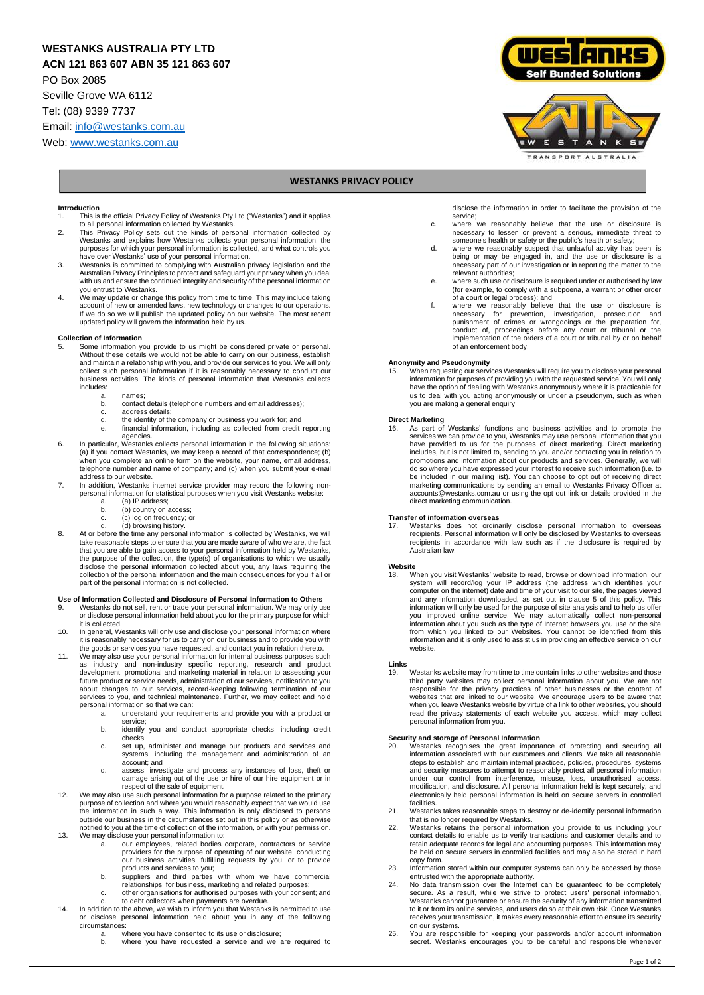# **WESTANKS AUSTRALIA PTY LTD**

**ACN 121 863 607 ABN 35 121 863 607**

PO Box 2085

Seville Grove WA 6112

Tel: (08) 9399 7737

Email[: info@westanks.com.au](mailto:info@westanks.com.au)

Web[: www.westanks.com.au](http://www.westanks.com.au/)





### **WESTANKS PRIVACY POLICY**

#### **Introduction**

- 1. This is the official Privacy Policy of Westanks Pty Ltd ("Westanks") and it applies to all personal information collected by Westanks. 2. This Privacy Policy sets out the kinds of personal information collected by
- Westanks and explains how Westanks collects your personal information, the purposes for which your personal information is collected, and what controls you
- have over Westanks' use of your personal information. 3. Westanks is committed to complying with Australian privacy legislation and the Australian Privacy Principles to protect and safeguard your privacy when you deal with us and ensure the continued integrity and security of the personal information you entrust to Westanks.
- 4. We may update or change this policy from time to time. This may include taking account of new or amended laws, new technology or changes to our operations. If we do so we will publish the updated policy on our website. The most recent updated policy will govern the information held by us.

#### **Collection of Information**

- 5. Some information you provide to us might be considered private or personal.<br>Without these details we would not be able to carry on our business, establish<br>and maintain a relationship with you, and provide our services t collect such personal information if it is reasonably necessary to conduct our business activities. The kinds of personal information that Westanks collects includes:
	- a. names;<br>b contact
	- contact details (telephone numbers and email addresses);
	- c. address details;<br>d the identity of the
	- d. the identity of the company or business you work for; and e. financial information, including as collected from credit reporting agencies.
- 6. In particular, Westanks collects personal information in the following situations: (a) if you contact Westanks, we may keep a record of that correspondence; (b) when you complete an online form on the website, your name, email address, telephone number and name of company; and (c) when you submit your e-mail address to our website.
- 7. In addition, Westanks internet service provider may record the following nonpersonal information for statistical purposes when you visit Westanks website:
	- a. (a) IP address;<br>b. (b) country on a
	- b. (b) country on access; c. (c) log on frequency; or
	-
- d. (d) browsing history. 8. At or before the time any personal information is collected by Westanks, we will take reasonable steps to ensure that you are made aware of who we are, the fact that you are able to gain access to your personal information held by Westanks, the purpose of the collection, the type(s) of organisations to which we usually disclose the personal information collected about you, any laws requiring the collection of the personal information and the main consequences for you if all or part of the personal information is not collected.

## **Use of Information Collected and Disclosure of Personal Information to Others** 9. Westanks do not sell, rent or trade your personal information. We may only use

- or disclose personal information held about you for the primary purpose for which it is collected.
- 10. In general, Westanks will only use and disclose your personal information where it is reasonably necessary for us to carry on our business and to provide you with the goods or services you have requested, and contact you in relation thereto.
- The grace of contract your personal information for internal business purposes such as industry and non-industry specific reporting, research and product<br>development, promotional and marketing material in relation to assessing your<br>future.product.or.service.needs, administration.of.our.services, notificat about changes to our services, record-keeping following termination of our services to you, and technical maintenance. Further, we may collect and hold personal information so that we can:
	- a. understand your requirements and provide you with a product or service;
	- b. identify you and conduct appropriate checks, including credit checks;
	- c. set up, administer and manage our products and services and systems, including the management and administration of an account; and
	- d. assess, investigate and process any instances of loss, theft or damage arising out of the use or hire of our hire equipment or in respect of the sale of equipment.
- 12. We may also use such personal information for a purpose related to the primary purpose of collection and where you would reasonably expect that we would use the information in such a way. This information is only disclosed to persons outside our business in the circumstances set out in this policy or as otherwise notified to you at the time of collection of the information, or with your permission. 13. We may disclose your personal information to:
	- a. our employees, related bodies corporate, contractors or service providers for the purpose of operating of our website, conducting our business activities, fulfilling requests by you, or to provide
	- products and services to you; b. suppliers and third parties with whom we have commercial relationships, for business, marketing and related purposes; c. other organisations for authorised purposes with your consent; and
- d. to debt collectors when payments are overdue. 14. In addition to the above, we wish to inform you that Westanks is permitted to use
	- or disclose personal information held about you in any of the following circumstances:
	- - a. where you have consented to its use or disclosure; b. where you have requested a service and we are required to

disclose the information in order to facilitate the provision of the service;

- c. where we reasonably believe that the use or disclosure is necessary to lessen or prevent a serious, immediate threat to
- someone's health or safety or the public's health or safety; d. where we reasonably suspect that unlawful activity has been, is being or may be engaged in, and the use or disclosure is a necessary part of our investigation or in reporting the matter to the relevant authorities;
- e. where such use or disclosure is required under or authorised by law (for example, to comply with a subpoena, a warrant or other order
- of a court or legal process); and f. where we reasonably believe that the use or disclosure is necessary for prevention, investigation, prosecution and punishment of crimes or wrongdoings or the preparation for, conduct of, proceedings before any court or tribunal or the implementation of the orders of a court or tribunal by or on behalf of an enforcement body.

#### **Anonymity and Pseudonymity**

15. When requesting our services Westanks will require you to disclose your personal information for purposes of providing you with the requested service. You will only<br>have the option of dealing with Westanks anonymously where it is practicable for<br>us to deal with you acting anonymously or under a pseudon you are making a general enquiry

**Direct Marketing**<br>16. As part of Westanks' functions and business activities and to promote the<br>services we can provide to you, Westanks may use personal information that you<br>have provided to us for the purposes of direct includes, but is not limited to, sending to you and/or contacting you in relation to<br>promotions and information about our products and services. Generally, we will<br>do so where you have expressed your interest to receive su accounts@westanks.com.au or using the opt out link or details provided in the direct marketing communication.

#### **Transfer of information overseas**

17. Westanks does not ordinarily disclose personal information to overseas recipients. Personal information will only be disclosed by Westanks to overseas recipients in accordance with law such as if the disclosure is required by Australian law.

#### **Website**

18. When you visit Westanks' website to read, browse or download information, our<br>system will record/og your IP address (the address which identifies your<br>computer on the internet) date and time of your visit to our site, and any information downloaded, as set out in clause 5 of this policy. This information will only be used for the purpose of site analysis and to help us offer you improved online service. We may automatically collect non-personal information about you such as the type of Internet browsers you i use or the site from which thom wind inform which the site of the site information an website.

#### **Links**

19. Westanks website may from time to time contain links to other websites and those third party websites may collect personal information about you. We are not responsible for the privacy practices of other businesses or the content of websites that are linked to our website. We encourage users to be aware that when you leave Westanks website by virtue of a link to other websites, you should read the privacy statements of each website you access, which may collect personal information from you.

- **Security and storage of Personal Information**<br>20. Westanks recognises the great importance of protecting and securing all<br>information associated with our customers and clients. We take all reasonable steps to establish and maintain internal practices, policies, procedures, systems and security measures to attempt to reasonably protect all personal information under our control from interference, misuse, loss, unauthorised access, modification, and disclosure. All personal information held is kept securely, and electronically held personal information is held on secure servers in controlled facilities.
- 21. Westanks takes reasonable steps to destroy or de-identify personal information that is no longer required by Westanks.
- 22. Westanks retains the personal information you provide to us including your contact details to enable us to verify transactions and customer details and to retain adequate records for legal and accounting purposes. This information may be held on secure servers in controlled facilities and may also be stored in hard copy form. 23. Information stored within our computer systems can only be accessed by those
- entrusted with the appropriate authority.
- 24. No data transmission over the Internet can be guaranteed to be completely secure. As a result, while we strive to protect users' personal information,<br>Westanks cannot guarantee or ensure the security of any information transmitted<br>to it or from its online services, and users do so at their own r receives your transmission, it makes every reasonable effort to ensure its security on our systems.
- 25. You are responsible for keeping your passwords and/or account information secret. Westanks encourages you to be careful and responsible whenever